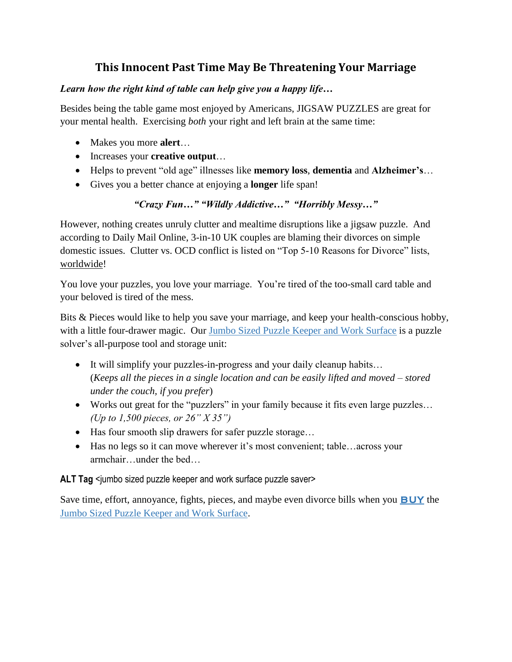## **This Innocent Past Time May Be Threatening Your Marriage**

#### *Learn how the right kind of table can help give you a happy life…*

Besides being the table game most enjoyed by Americans, JIGSAW PUZZLES are great for your mental health. Exercising *both* your right and left brain at the same time:

- Makes you more **alert**…
- Increases your **creative output**…
- Helps to prevent "old age" illnesses like **memory loss**, **dementia** and **Alzheimer's**…
- Gives you a better chance at enjoying a **longer** life span!

#### *"Crazy Fun…" "Wildly Addictive…" "Horribly Messy…"*

However, nothing creates unruly clutter and mealtime disruptions like a jigsaw puzzle. And according to Daily Mail Online, 3-in-10 UK couples are blaming their divorces on simple domestic issues. Clutter vs. OCD conflict is listed on "Top 5-10 Reasons for Divorce" lists, worldwide!

You love your puzzles, you love your marriage. You're tired of the too-small card table and your beloved is tired of the mess.

Bits & Pieces would like to help you save your marriage, and keep your health-conscious hobby, with a little four-drawer magic. Our Jumbo Sized Puzzle Keeper and Work Surface is a puzzle solver's all-purpose tool and storage unit:

- It will simplify your puzzles-in-progress and your daily cleanup habits... (*Keeps all the pieces in a single location and can be easily lifted and moved – stored under the couch, if you prefer*)
- Works out great for the "puzzlers" in your family because it fits even large puzzles… *(Up to 1,500 pieces, or 26" X 35")*
- Has four smooth slip drawers for safer puzzle storage...
- Has no legs so it can move wherever it's most convenient; table…across your armchair…under the bed…

#### ALT Tag <jumbo sized puzzle keeper and work surface puzzle saver>

Save time, effort, annoyance, fights, pieces, and maybe even divorce bills when you **BUY** the Jumbo Sized Puzzle Keeper and Work Surface.